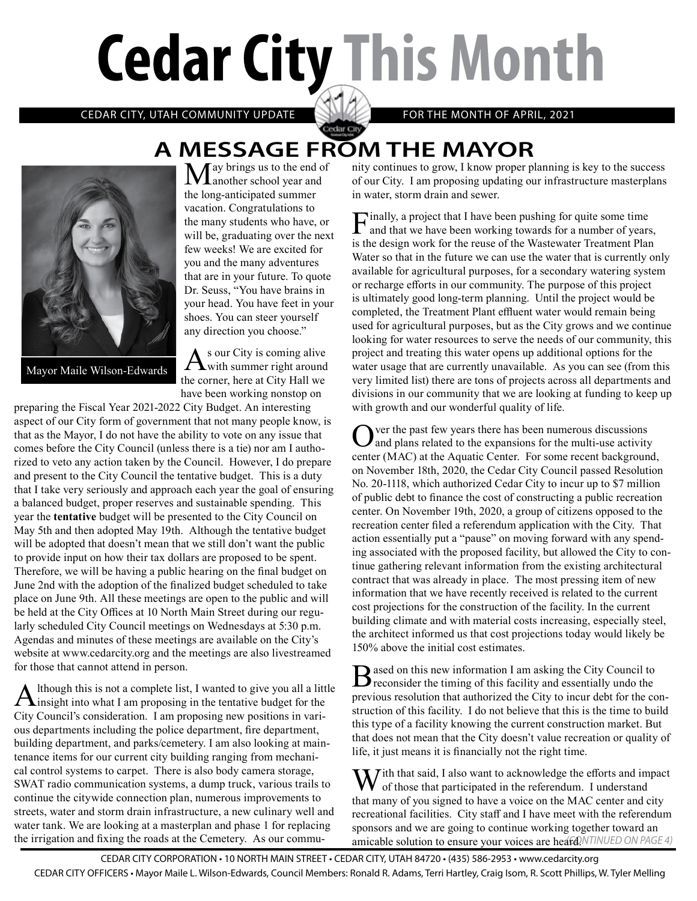# **Cedar City This Month**

CEDAR CITY, UTAH COMMUNITY UPDATE **AND ACCEPT ACCEPT FOR THE MONTH OF APRIL, 2021** 

## Cedar City **A MESSAGE FROM THE MAYOR**



Mayor Maile Wilson-Edwards

May brings us to the end of another school year and the long-anticipated summer vacation. Congratulations to the many students who have, or will be, graduating over the next few weeks! We are excited for you and the many adventures that are in your future. To quote Dr. Seuss, "You have brains in your head. You have feet in your shoes. You can steer yourself any direction you choose."

 $A<sup>s</sup>$  our City is coming alive<br>with summer right around the corner, here at City Hall we have been working nonstop on

preparing the Fiscal Year 2021-2022 City Budget. An interesting aspect of our City form of government that not many people know, is that as the Mayor, I do not have the ability to vote on any issue that comes before the City Council (unless there is a tie) nor am I authorized to veto any action taken by the Council. However, I do prepare and present to the City Council the tentative budget. This is a duty that I take very seriously and approach each year the goal of ensuring a balanced budget, proper reserves and sustainable spending. This year the **tentative** budget will be presented to the City Council on May 5th and then adopted May 19th. Although the tentative budget will be adopted that doesn't mean that we still don't want the public to provide input on how their tax dollars are proposed to be spent. Therefore, we will be having a public hearing on the final budget on June 2nd with the adoption of the finalized budget scheduled to take place on June 9th. All these meetings are open to the public and will be held at the City Offices at 10 North Main Street during our regularly scheduled City Council meetings on Wednesdays at 5:30 p.m. Agendas and minutes of these meetings are available on the City's website at www.cedarcity.org and the meetings are also livestreamed for those that cannot attend in person.

Although this is not a complete list, I wanted to give you all a little insight into what I am proposing in the tentative budget for the City Council's consideration. I am proposing new positions in various departments including the police department, fire department, building department, and parks/cemetery. I am also looking at maintenance items for our current city building ranging from mechanical control systems to carpet. There is also body camera storage, SWAT radio communication systems, a dump truck, various trails to continue the citywide connection plan, numerous improvements to streets, water and storm drain infrastructure, a new culinary well and water tank. We are looking at a masterplan and phase 1 for replacing the irrigation and fixing the roads at the Cemetery. As our community continues to grow, I know proper planning is key to the success of our City. I am proposing updating our infrastructure masterplans in water, storm drain and sewer.

Finally, a project that I have been pushing for quite some time and that we have been working towards for a number of years, is the design work for the reuse of the Wastewater Treatment Plan Water so that in the future we can use the water that is currently only available for agricultural purposes, for a secondary watering system or recharge efforts in our community. The purpose of this project is ultimately good long-term planning. Until the project would be completed, the Treatment Plant effluent water would remain being used for agricultural purposes, but as the City grows and we continue looking for water resources to serve the needs of our community, this project and treating this water opens up additional options for the water usage that are currently unavailable. As you can see (from this very limited list) there are tons of projects across all departments and divisions in our community that we are looking at funding to keep up with growth and our wonderful quality of life.

Over the past few years there has been numerous discussions<br>and plans related to the expansions for the multi-use activity center (MAC) at the Aquatic Center. For some recent background, on November 18th, 2020, the Cedar City Council passed Resolution No. 20-1118, which authorized Cedar City to incur up to \$7 million of public debt to finance the cost of constructing a public recreation center. On November 19th, 2020, a group of citizens opposed to the recreation center filed a referendum application with the City. That action essentially put a "pause" on moving forward with any spending associated with the proposed facility, but allowed the City to continue gathering relevant information from the existing architectural contract that was already in place. The most pressing item of new information that we have recently received is related to the current cost projections for the construction of the facility. In the current building climate and with material costs increasing, especially steel, the architect informed us that cost projections today would likely be 150% above the initial cost estimates.

Based on this new information I am asking the City Council to reconsider the timing of this facility and essentially undo the previous resolution that authorized the City to incur debt for the construction of this facility. I do not believe that this is the time to build this type of a facility knowing the current construction market. But that does not mean that the City doesn't value recreation or quality of life, it just means it is financially not the right time.

amicable solution to ensure your voices are heard. NTINUED ON PAGE 4)  $\mathbf{W}$  ith that said, I also want to acknowledge the efforts and impact of those that participated in the referendum. I understand that many of you signed to have a voice on the MAC center and city recreational facilities. City staff and I have meet with the referendum sponsors and we are going to continue working together toward an

CEDAR CITY CORPORATION • 10 NORTH MAIN STREET • CEDAR CITY, UTAH 84720 • (435) 586-2953 • www.cedarcity.org CEDAR CITY OFFICERS • Mayor Maile L. Wilson-Edwards, Council Members: Ronald R. Adams, Terri Hartley, Craig Isom, R. Scott Phillips, W. Tyler Melling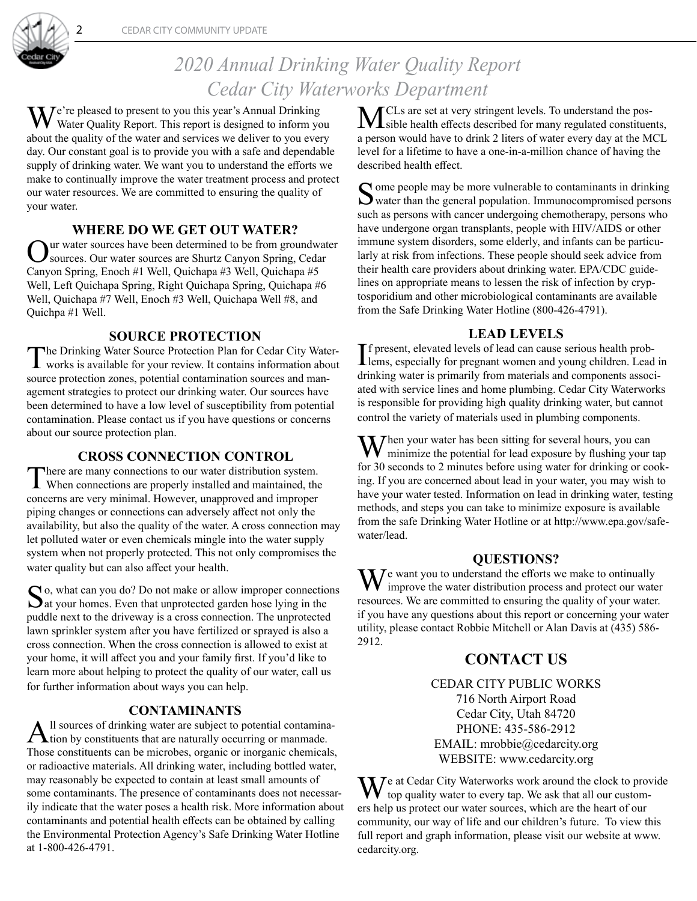

## *2020 Annual Drinking Water Quality Report Cedar City Waterworks Department*

We're pleased to present to you this year's Annual Drinking<br>Wester Quality Report. This report is designed to inform you about the quality of the water and services we deliver to you every day. Our constant goal is to provide you with a safe and dependable supply of drinking water. We want you to understand the efforts we make to continually improve the water treatment process and protect our water resources. We are committed to ensuring the quality of your water.

#### **WHERE DO WE GET OUT WATER?**

Our water sources have been determined to be from groundwater<br>
Sources. Our water sources are Shurtz Canyon Spring, Cedar Canyon Spring, Enoch #1 Well, Quichapa #3 Well, Quichapa #5 Well, Left Quichapa Spring, Right Quichapa Spring, Quichapa #6 Well, Quichapa #7 Well, Enoch #3 Well, Quichapa Well #8, and Quichpa #1 Well.

#### **SOURCE PROTECTION**

The Drinking Water Source Protection Plan for Cedar City Water-works is available for your review. It contains information about source protection zones, potential contamination sources and management strategies to protect our drinking water. Our sources have been determined to have a low level of susceptibility from potential contamination. Please contact us if you have questions or concerns about our source protection plan.

#### **CROSS CONNECTION CONTROL**

There are many connections to our water distribution system. When connections are properly installed and maintained, the concerns are very minimal. However, unapproved and improper piping changes or connections can adversely affect not only the availability, but also the quality of the water. A cross connection may let polluted water or even chemicals mingle into the water supply system when not properly protected. This not only compromises the water quality but can also affect your health.

 $\bigcap$  o, what can you do? Do not make or allow improper connections  $\Delta$ at your homes. Even that unprotected garden hose lying in the puddle next to the driveway is a cross connection. The unprotected lawn sprinkler system after you have fertilized or sprayed is also a cross connection. When the cross connection is allowed to exist at your home, it will affect you and your family first. If you'd like to learn more about helping to protect the quality of our water, call us for further information about ways you can help.

**CONTAMINANTS**<br>Il sources of drinking water are subject to potential contamina-All sources of drinking water are subject to potential contamina-<br>tion by constituents that are naturally occurring or manmade. Those constituents can be microbes, organic or inorganic chemicals, or radioactive materials. All drinking water, including bottled water, may reasonably be expected to contain at least small amounts of some contaminants. The presence of contaminants does not necessarily indicate that the water poses a health risk. More information about contaminants and potential health effects can be obtained by calling the Environmental Protection Agency's Safe Drinking Water Hotline at 1-800-426-4791.

MCLs are set at very stringent levels. To understand the pos-<br>Sible health effects described for many regulated constituents, a person would have to drink 2 liters of water every day at the MCL level for a lifetime to have a one-in-a-million chance of having the described health effect.

Some people may be more vulnerable to contaminants in drinking<br>water than the general population. Immunocompromised persons such as persons with cancer undergoing chemotherapy, persons who have undergone organ transplants, people with HIV/AIDS or other immune system disorders, some elderly, and infants can be particularly at risk from infections. These people should seek advice from their health care providers about drinking water. EPA/CDC guidelines on appropriate means to lessen the risk of infection by cryptosporidium and other microbiological contaminants are available from the Safe Drinking Water Hotline (800-426-4791).

#### **LEAD LEVELS**

If present, elevated levels of lead can cause serious health prob-<br>lems, especially for pregnant women and young children. Lead in f present, elevated levels of lead can cause serious health probdrinking water is primarily from materials and components associated with service lines and home plumbing. Cedar City Waterworks is responsible for providing high quality drinking water, but cannot control the variety of materials used in plumbing components.

 $M^{h}$ hen your water has been sitting for several hours, you can minimize the potential for lead exposure by flushing your tap for 30 seconds to 2 minutes before using water for drinking or cooking. If you are concerned about lead in your water, you may wish to have your water tested. Information on lead in drinking water, testing methods, and steps you can take to minimize exposure is available from the safe Drinking Water Hotline or at http://www.epa.gov/safewater/lead.

#### **QUESTIONS?**

 $\mathbf{W}$  want you to understand the efforts we make to ontinually improve the water distribution process and protect our water resources. We are committed to ensuring the quality of your water. if you have any questions about this report or concerning your water utility, please contact Robbie Mitchell or Alan Davis at (435) 586- 2912.

### **CONTACT US**

CEDAR CITY PUBLIC WORKS 716 North Airport Road Cedar City, Utah 84720 PHONE: 435-586-2912 EMAIL: mrobbie@cedarcity.org WEBSITE: www.cedarcity.org

 $\mathbf{W}$ e at Cedar City Waterworks work around the clock to provide  $\bf{V}$  top quality water to every tap. We ask that all our customers help us protect our water sources, which are the heart of our community, our way of life and our children's future. To view this full report and graph information, please visit our website at www. cedarcity.org.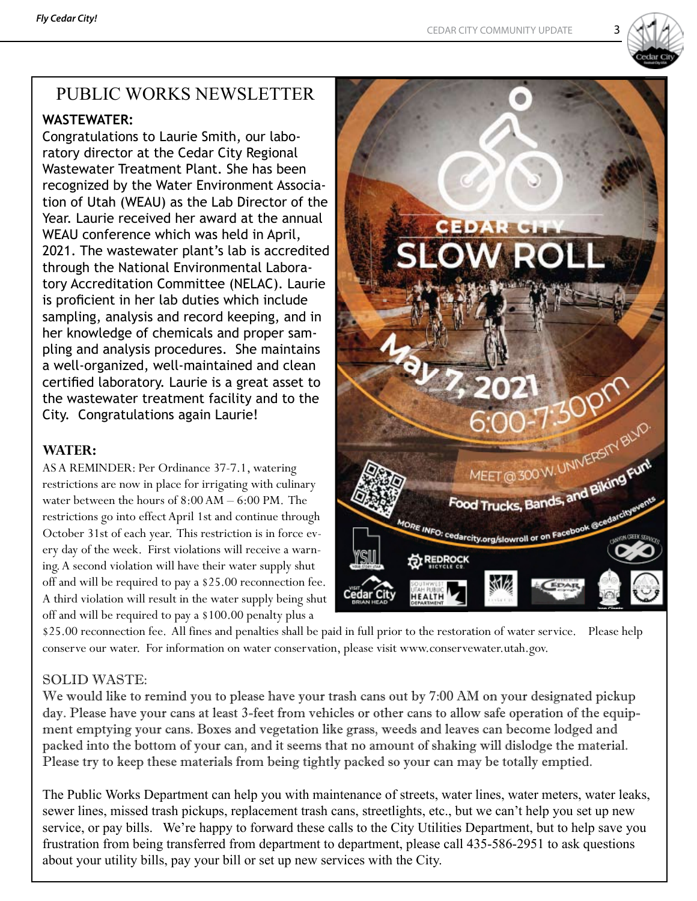

## PUBLIC WORKS NEWSLETTER

#### **WASTEWATER:**

Congratulations to Laurie Smith, our laboratory director at the Cedar City Regional Wastewater Treatment Plant. She has been recognized by the Water Environment Association of Utah (WEAU) as the Lab Director of the Year. Laurie received her award at the annual WEAU conference which was held in April, 2021. The wastewater plant's lab is accredited through the National Environmental Laboratory Accreditation Committee (NELAC). Laurie is proficient in her lab duties which include sampling, analysis and record keeping, and in her knowledge of chemicals and proper sampling and analysis procedures. She maintains a well-organized, well-maintained and clean certified laboratory. Laurie is a great asset to the wastewater treatment facility and to the City. Congratulations again Laurie!

#### **WATER:**

AS A REMINDER: Per Ordinance 37-7.1, watering restrictions are now in place for irrigating with culinary water between the hours of 8:00 AM – 6:00 PM. The restrictions go into effect April 1st and continue through October 31st of each year. This restriction is in force every day of the week. First violations will receive a warning. A second violation will have their water supply shut off and will be required to pay a \$25.00 reconnection fee. A third violation will result in the water supply being shut off and will be required to pay a \$100.00 penalty plus a



\$25.00 reconnection fee. All fines and penalties shall be paid in full prior to the restoration of water service. Please help conserve our water. For information on water conservation, please visit www.conservewater.utah.gov.

#### SOLID WASTE:

We would like to remind you to please have your trash cans out by 7:00 AM on your designated pickup day. Please have your cans at least 3-feet from vehicles or other cans to allow safe operation of the equipment emptying your cans. Boxes and vegetation like grass, weeds and leaves can become lodged and packed into the bottom of your can, and it seems that no amount of shaking will dislodge the material. Please try to keep these materials from being tightly packed so your can may be totally emptied.

The Public Works Department can help you with maintenance of streets, water lines, water meters, water leaks, sewer lines, missed trash pickups, replacement trash cans, streetlights, etc., but we can't help you set up new service, or pay bills. We're happy to forward these calls to the City Utilities Department, but to help save you frustration from being transferred from department to department, please call 435-586-2951 to ask questions about your utility bills, pay your bill or set up new services with the City.